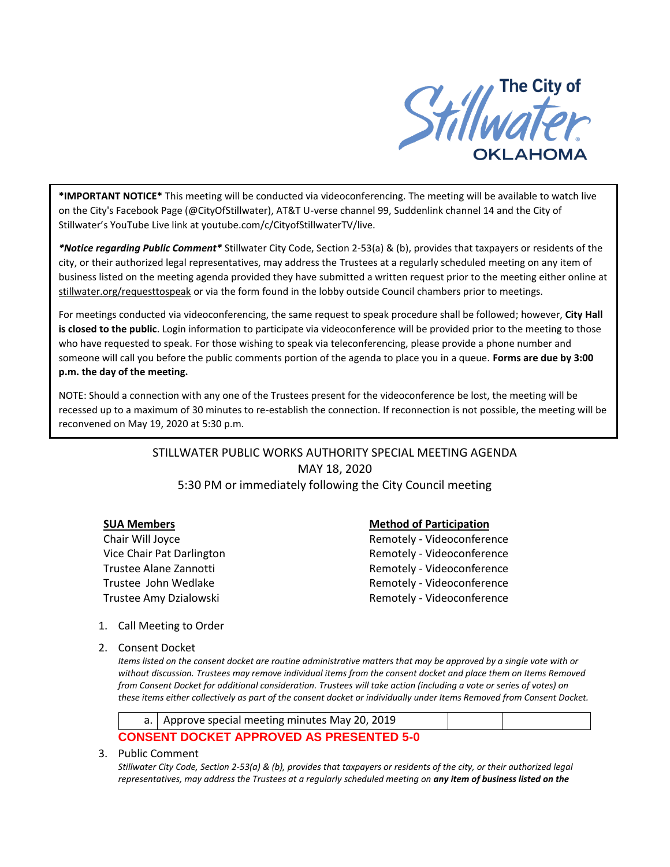

**\*IMPORTANT NOTICE\*** This meeting will be conducted via videoconferencing. The meeting will be available to watch live on the City's Facebook Page (@CityOfStillwater), AT&T U-verse channel 99, Suddenlink channel 14 and the City of Stillwater's YouTube Live link at youtube.com/c/CityofStillwaterTV/live.

*\*Notice regarding Public Comment\** Stillwater City Code, Section 2-53(a) & (b), provides that taxpayers or residents of the city, or their authorized legal representatives, may address the Trustees at a regularly scheduled meeting on any item of business listed on the meeting agenda provided they have submitted a written request prior to the meeting either online at stillwater.org/requesttospeak or via the form found in the lobby outside Council chambers prior to meetings.

For meetings conducted via videoconferencing, the same request to speak procedure shall be followed; however, **City Hall is closed to the public**. Login information to participate via videoconference will be provided prior to the meeting to those who have requested to speak. For those wishing to speak via teleconferencing, please provide a phone number and someone will call you before the public comments portion of the agenda to place you in a queue. **Forms are due by 3:00 p.m. the day of the meeting.**

NOTE: Should a connection with any one of the Trustees present for the videoconference be lost, the meeting will be recessed up to a maximum of 30 minutes to re-establish the connection. If reconnection is not possible, the meeting will be reconvened on May 19, 2020 at 5:30 p.m.

> STILLWATER PUBLIC WORKS AUTHORITY SPECIAL MEETING AGENDA MAY 18, 2020 5:30 PM or immediately following the City Council meeting

## **SUA Members Method of Participation**

Chair Will Joyce **Remotely - Videoconference** Vice Chair Pat Darlington **Remotely - Videoconference** Trustee Alane Zannotti and a state of the Remotely - Videoconference Trustee John Wedlake **Remotely - Videoconference** Trustee Amy Dzialowski and a Remotely - Videoconference

- 1. Call Meeting to Order
- 2. Consent Docket

*Items listed on the consent docket are routine administrative matters that may be approved by a single vote with or without discussion. Trustees may remove individual items from the consent docket and place them on Items Removed from Consent Docket for additional consideration. Trustees will take action (including a vote or series of votes) on these items either collectively as part of the consent docket or individually under Items Removed from Consent Docket.*



3. Public Comment

*Stillwater City Code, Section 2-53(a) & (b), provides that taxpayers or residents of the city, or their authorized legal representatives, may address the Trustees at a regularly scheduled meeting on any item of business listed on the*